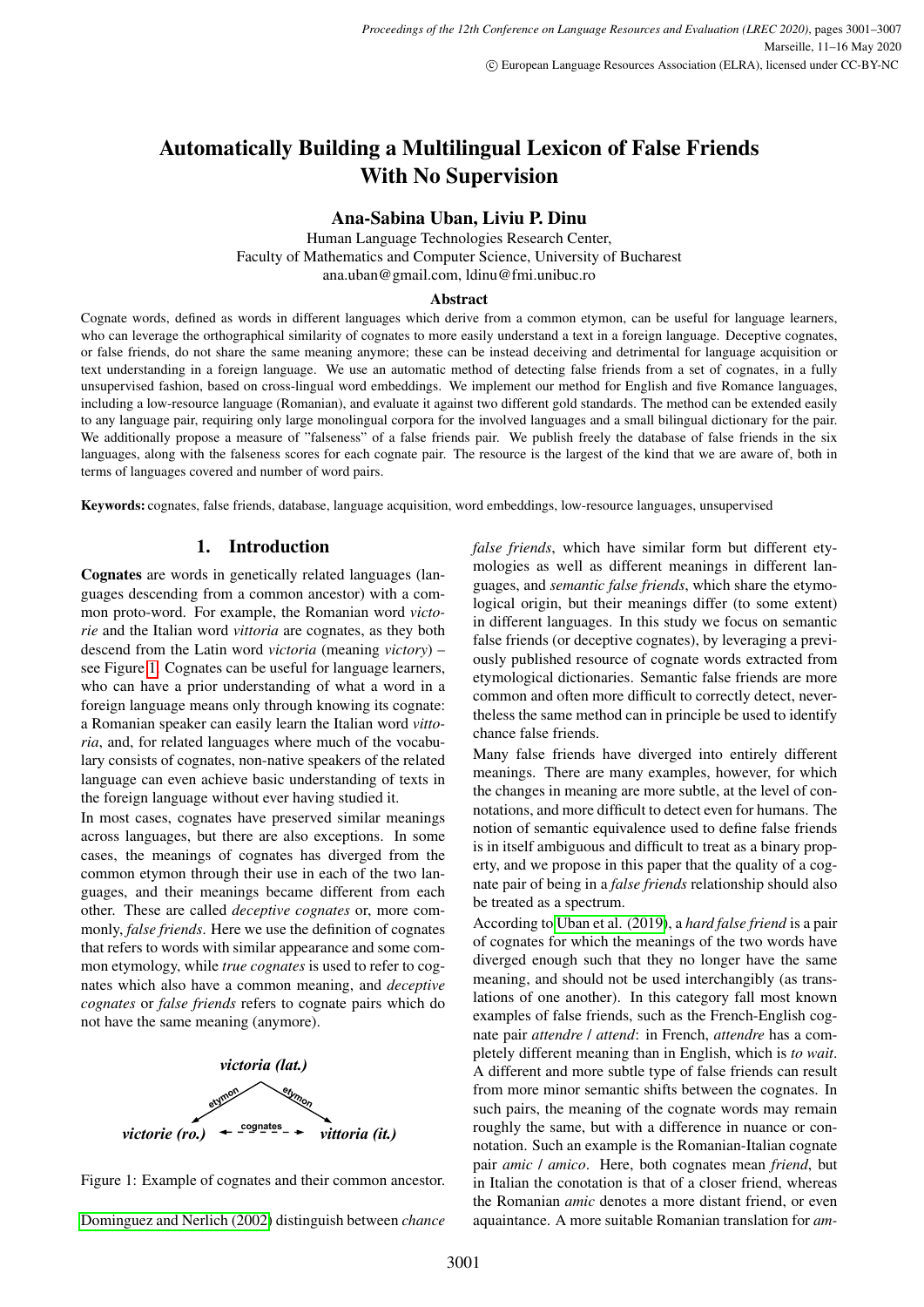# Automatically Building a Multilingual Lexicon of False Friends With No Supervision

#### Ana-Sabina Uban, Liviu P. Dinu

Human Language Technologies Research Center, Faculty of Mathematics and Computer Science, University of Bucharest ana.uban@gmail.com, ldinu@fmi.unibuc.ro

#### Abstract

Cognate words, defined as words in different languages which derive from a common etymon, can be useful for language learners, who can leverage the orthographical similarity of cognates to more easily understand a text in a foreign language. Deceptive cognates, or false friends, do not share the same meaning anymore; these can be instead deceiving and detrimental for language acquisition or text understanding in a foreign language. We use an automatic method of detecting false friends from a set of cognates, in a fully unsupervised fashion, based on cross-lingual word embeddings. We implement our method for English and five Romance languages, including a low-resource language (Romanian), and evaluate it against two different gold standards. The method can be extended easily to any language pair, requiring only large monolingual corpora for the involved languages and a small bilingual dictionary for the pair. We additionally propose a measure of "falseness" of a false friends pair. We publish freely the database of false friends in the six languages, along with the falseness scores for each cognate pair. The resource is the largest of the kind that we are aware of, both in terms of languages covered and number of word pairs.

Keywords: cognates, false friends, database, language acquisition, word embeddings, low-resource languages, unsupervised

#### 1. Introduction

Cognates are words in genetically related languages (languages descending from a common ancestor) with a common proto-word. For example, the Romanian word *victorie* and the Italian word *vittoria* are cognates, as they both descend from the Latin word *victoria* (meaning *victory*) – see Figure [1.](#page-0-0) Cognates can be useful for language learners, who can have a prior understanding of what a word in a foreign language means only through knowing its cognate: a Romanian speaker can easily learn the Italian word *vittoria*, and, for related languages where much of the vocabulary consists of cognates, non-native speakers of the related language can even achieve basic understanding of texts in the foreign language without ever having studied it.

In most cases, cognates have preserved similar meanings across languages, but there are also exceptions. In some cases, the meanings of cognates has diverged from the common etymon through their use in each of the two languages, and their meanings became different from each other. These are called *deceptive cognates* or, more commonly, *false friends*. Here we use the definition of cognates that refers to words with similar appearance and some common etymology, while *true cognates* is used to refer to cognates which also have a common meaning, and *deceptive cognates* or *false friends* refers to cognate pairs which do not have the same meaning (anymore).





[Dominguez and Nerlich \(2002\)](#page-5-0) distinguish between *chance*

*false friends*, which have similar form but different etymologies as well as different meanings in different languages, and *semantic false friends*, which share the etymological origin, but their meanings differ (to some extent) in different languages. In this study we focus on semantic false friends (or deceptive cognates), by leveraging a previously published resource of cognate words extracted from etymological dictionaries. Semantic false friends are more common and often more difficult to correctly detect, nevertheless the same method can in principle be used to identify chance false friends.

Many false friends have diverged into entirely different meanings. There are many examples, however, for which the changes in meaning are more subtle, at the level of connotations, and more difficult to detect even for humans. The notion of semantic equivalence used to define false friends is in itself ambiguous and difficult to treat as a binary property, and we propose in this paper that the quality of a cognate pair of being in a *false friends* relationship should also be treated as a spectrum.

<span id="page-0-0"></span>According to [Uban et al. \(2019\)](#page-6-0), a *hard false friend* is a pair of cognates for which the meanings of the two words have diverged enough such that they no longer have the same meaning, and should not be used interchangibly (as translations of one another). In this category fall most known examples of false friends, such as the French-English cognate pair *attendre* / *attend*: in French, *attendre* has a completely different meaning than in English, which is *to wait*. A different and more subtle type of false friends can result from more minor semantic shifts between the cognates. In such pairs, the meaning of the cognate words may remain roughly the same, but with a difference in nuance or connotation. Such an example is the Romanian-Italian cognate pair *amic* / *amico*. Here, both cognates mean *friend*, but in Italian the conotation is that of a closer friend, whereas the Romanian *amic* denotes a more distant friend, or even aquaintance. A more suitable Romanian translation for *am-*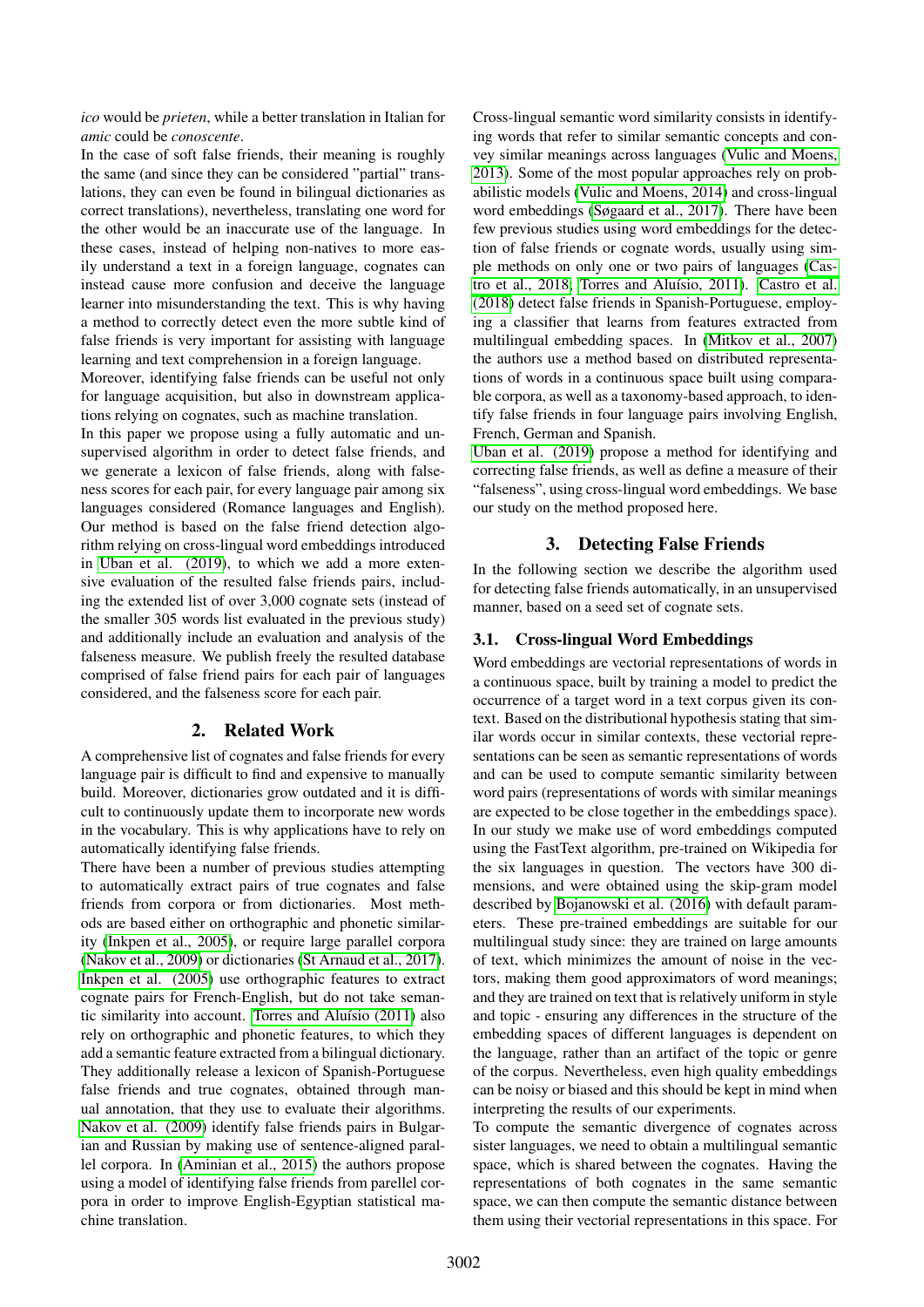*ico* would be *prieten*, while a better translation in Italian for *amic* could be *conoscente*.

In the case of soft false friends, their meaning is roughly the same (and since they can be considered "partial" translations, they can even be found in bilingual dictionaries as correct translations), nevertheless, translating one word for the other would be an inaccurate use of the language. In these cases, instead of helping non-natives to more easily understand a text in a foreign language, cognates can instead cause more confusion and deceive the language learner into misunderstanding the text. This is why having a method to correctly detect even the more subtle kind of false friends is very important for assisting with language learning and text comprehension in a foreign language.

Moreover, identifying false friends can be useful not only for language acquisition, but also in downstream applications relying on cognates, such as machine translation.

In this paper we propose using a fully automatic and unsupervised algorithm in order to detect false friends, and we generate a lexicon of false friends, along with falseness scores for each pair, for every language pair among six languages considered (Romance languages and English). Our method is based on the false friend detection algorithm relying on cross-lingual word embeddings introduced in [Uban et al. \(2019\)](#page-6-0), to which we add a more extensive evaluation of the resulted false friends pairs, including the extended list of over 3,000 cognate sets (instead of the smaller 305 words list evaluated in the previous study) and additionally include an evaluation and analysis of the falseness measure. We publish freely the resulted database comprised of false friend pairs for each pair of languages considered, and the falseness score for each pair.

# 2. Related Work

A comprehensive list of cognates and false friends for every language pair is difficult to find and expensive to manually build. Moreover, dictionaries grow outdated and it is difficult to continuously update them to incorporate new words in the vocabulary. This is why applications have to rely on automatically identifying false friends.

There have been a number of previous studies attempting to automatically extract pairs of true cognates and false friends from corpora or from dictionaries. Most methods are based either on orthographic and phonetic similarity [\(Inkpen et al., 2005\)](#page-5-1), or require large parallel corpora [\(Nakov et al., 2009\)](#page-5-2) or dictionaries [\(St Arnaud et al., 2017\)](#page-6-1). [Inkpen et al. \(2005\)](#page-5-1) use orthographic features to extract cognate pairs for French-English, but do not take semantic similarity into account. Torres and Aluísio (2011) also rely on orthographic and phonetic features, to which they add a semantic feature extracted from a bilingual dictionary. They additionally release a lexicon of Spanish-Portuguese false friends and true cognates, obtained through manual annotation, that they use to evaluate their algorithms. [Nakov et al. \(2009\)](#page-5-2) identify false friends pairs in Bulgarian and Russian by making use of sentence-aligned parallel corpora. In [\(Aminian et al., 2015\)](#page-5-3) the authors propose using a model of identifying false friends from parellel corpora in order to improve English-Egyptian statistical machine translation.

Cross-lingual semantic word similarity consists in identifying words that refer to similar semantic concepts and convey similar meanings across languages [\(Vulic and Moens,](#page-6-3) [2013\)](#page-6-3). Some of the most popular approaches rely on probabilistic models [\(Vulic and Moens, 2014\)](#page-6-4) and cross-lingual word embeddings [\(Søgaard et al., 2017\)](#page-6-5). There have been few previous studies using word embeddings for the detection of false friends or cognate words, usually using simple methods on only one or two pairs of languages [\(Cas](#page-5-4)[tro et al., 2018;](#page-5-4) Torres and Aluísio, 2011). [Castro et al.](#page-5-4) [\(2018\)](#page-5-4) detect false friends in Spanish-Portuguese, employing a classifier that learns from features extracted from multilingual embedding spaces. In [\(Mitkov et al., 2007\)](#page-5-5) the authors use a method based on distributed representations of words in a continuous space built using comparable corpora, as well as a taxonomy-based approach, to identify false friends in four language pairs involving English, French, German and Spanish.

[Uban et al. \(2019\)](#page-6-0) propose a method for identifying and correcting false friends, as well as define a measure of their "falseness", using cross-lingual word embeddings. We base our study on the method proposed here.

# 3. Detecting False Friends

In the following section we describe the algorithm used for detecting false friends automatically, in an unsupervised manner, based on a seed set of cognate sets.

## 3.1. Cross-lingual Word Embeddings

Word embeddings are vectorial representations of words in a continuous space, built by training a model to predict the occurrence of a target word in a text corpus given its context. Based on the distributional hypothesis stating that similar words occur in similar contexts, these vectorial representations can be seen as semantic representations of words and can be used to compute semantic similarity between word pairs (representations of words with similar meanings are expected to be close together in the embeddings space). In our study we make use of word embeddings computed using the FastText algorithm, pre-trained on Wikipedia for the six languages in question. The vectors have 300 dimensions, and were obtained using the skip-gram model described by [Bojanowski et al. \(2016\)](#page-5-6) with default parameters. These pre-trained embeddings are suitable for our multilingual study since: they are trained on large amounts of text, which minimizes the amount of noise in the vectors, making them good approximators of word meanings; and they are trained on text that is relatively uniform in style and topic - ensuring any differences in the structure of the embedding spaces of different languages is dependent on the language, rather than an artifact of the topic or genre of the corpus. Nevertheless, even high quality embeddings can be noisy or biased and this should be kept in mind when interpreting the results of our experiments.

To compute the semantic divergence of cognates across sister languages, we need to obtain a multilingual semantic space, which is shared between the cognates. Having the representations of both cognates in the same semantic space, we can then compute the semantic distance between them using their vectorial representations in this space. For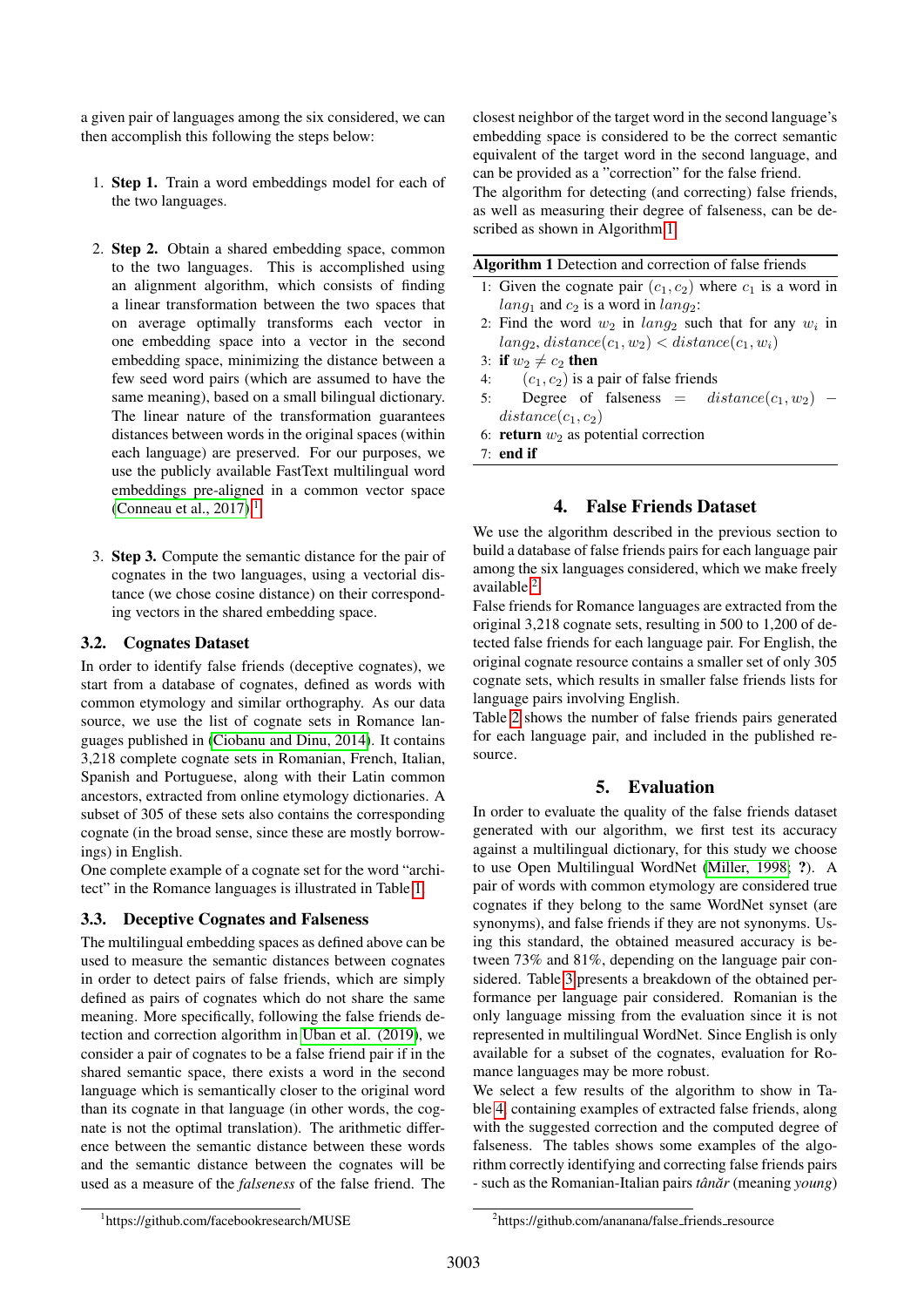a given pair of languages among the six considered, we can then accomplish this following the steps below:

- 1. Step 1. Train a word embeddings model for each of the two languages.
- 2. Step 2. Obtain a shared embedding space, common to the two languages. This is accomplished using an alignment algorithm, which consists of finding a linear transformation between the two spaces that on average optimally transforms each vector in one embedding space into a vector in the second embedding space, minimizing the distance between a few seed word pairs (which are assumed to have the same meaning), based on a small bilingual dictionary. The linear nature of the transformation guarantees distances between words in the original spaces (within each language) are preserved. For our purposes, we use the publicly available FastText multilingual word embeddings pre-aligned in a common vector space [\(Conneau et al., 2017\)](#page-5-7).<sup>[1](#page-2-0)</sup>
- 3. Step 3. Compute the semantic distance for the pair of cognates in the two languages, using a vectorial distance (we chose cosine distance) on their corresponding vectors in the shared embedding space.

### 3.2. Cognates Dataset

In order to identify false friends (deceptive cognates), we start from a database of cognates, defined as words with common etymology and similar orthography. As our data source, we use the list of cognate sets in Romance languages published in [\(Ciobanu and Dinu, 2014\)](#page-5-8). It contains 3,218 complete cognate sets in Romanian, French, Italian, Spanish and Portuguese, along with their Latin common ancestors, extracted from online etymology dictionaries. A subset of 305 of these sets also contains the corresponding cognate (in the broad sense, since these are mostly borrowings) in English.

One complete example of a cognate set for the word "architect" in the Romance languages is illustrated in Table [1.](#page-3-0)

## 3.3. Deceptive Cognates and Falseness

The multilingual embedding spaces as defined above can be used to measure the semantic distances between cognates in order to detect pairs of false friends, which are simply defined as pairs of cognates which do not share the same meaning. More specifically, following the false friends detection and correction algorithm in [Uban et al. \(2019\)](#page-6-0), we consider a pair of cognates to be a false friend pair if in the shared semantic space, there exists a word in the second language which is semantically closer to the original word than its cognate in that language (in other words, the cognate is not the optimal translation). The arithmetic difference between the semantic distance between these words and the semantic distance between the cognates will be used as a measure of the *falseness* of the false friend. The

closest neighbor of the target word in the second language's embedding space is considered to be the correct semantic equivalent of the target word in the second language, and can be provided as a "correction" for the false friend. The algorithm for detecting (and correcting) false friends, as well as measuring their degree of falseness, can be de-

Algorithm 1 Detection and correction of false friends

- <span id="page-2-1"></span>1: Given the cognate pair  $(c_1, c_2)$  where  $c_1$  is a word in  $lang_1$  and  $c_2$  is a word in  $lang_2$ :
- 2: Find the word  $w_2$  in  $lang_2$  such that for any  $w_i$  in  $lang_2$ ,  $distance(c_1, w_2) < distance(c_1, w_i)$
- 3: if  $w_2 \neq c_2$  then
- 

scribed as shown in Algorithm [1.](#page-2-1)

- 4:  $(c_1, c_2)$  is a pair of false friends<br>5: Degree of falseness =  $distance(c_1, w_2)$  5: Degree of falseness  $=$  $distance(c_1, c_2)$
- 6: return  $w_2$  as potential correction
- 7: end if

## 4. False Friends Dataset

We use the algorithm described in the previous section to build a database of false friends pairs for each language pair among the six languages considered, which we make freely available <sup>[2](#page-2-2)</sup>.

False friends for Romance languages are extracted from the original 3,218 cognate sets, resulting in 500 to 1,200 of detected false friends for each language pair. For English, the original cognate resource contains a smaller set of only 305 cognate sets, which results in smaller false friends lists for language pairs involving English.

Table [2](#page-3-1) shows the number of false friends pairs generated for each language pair, and included in the published resource.

# 5. Evaluation

In order to evaluate the quality of the false friends dataset generated with our algorithm, we first test its accuracy against a multilingual dictionary, for this study we choose to use Open Multilingual WordNet [\(Miller, 1998;](#page-5-9) ?). A pair of words with common etymology are considered true cognates if they belong to the same WordNet synset (are synonyms), and false friends if they are not synonyms. Using this standard, the obtained measured accuracy is between 73% and 81%, depending on the language pair considered. Table [3](#page-3-2) presents a breakdown of the obtained performance per language pair considered. Romanian is the only language missing from the evaluation since it is not represented in multilingual WordNet. Since English is only available for a subset of the cognates, evaluation for Romance languages may be more robust.

We select a few results of the algorithm to show in Table [4,](#page-3-3) containing examples of extracted false friends, along with the suggested correction and the computed degree of falseness. The tables shows some examples of the algorithm correctly identifying and correcting false friends pairs - such as the Romanian-Italian pairs *tânăr* (meaning *young*)

<span id="page-2-0"></span><sup>1</sup> https://github.com/facebookresearch/MUSE

<span id="page-2-2"></span><sup>&</sup>lt;sup>2</sup>https://github.com/ananana/false\_friends\_resource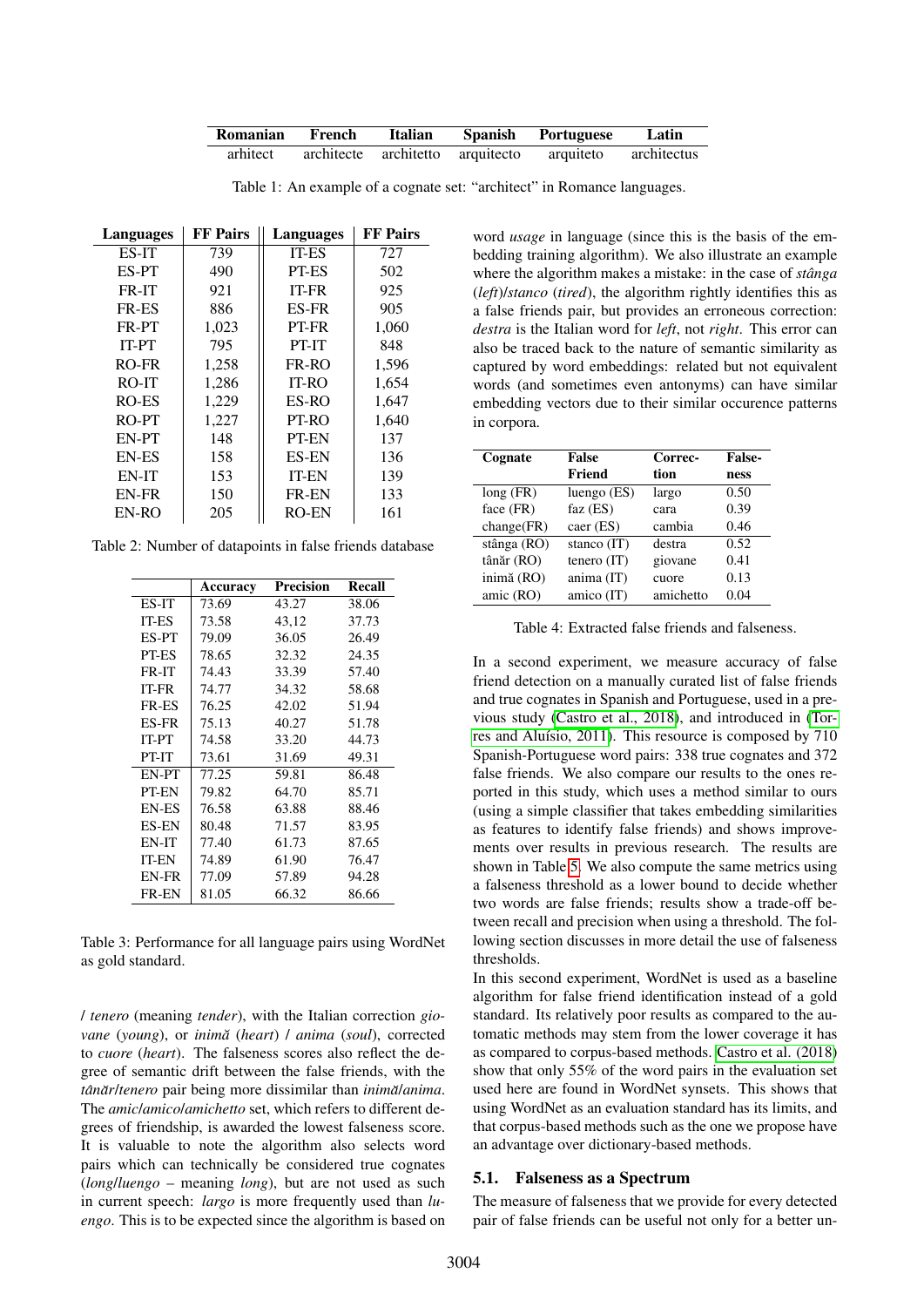| Romanian French | <b>Italian</b> | Spanish Portuguese                                              | Latin |
|-----------------|----------------|-----------------------------------------------------------------|-------|
|                 |                | arhitect architecte architetto arquitecto arquiteto architectus |       |

Table 1: An example of a cognate set: "architect" in Romance languages.

| Languages    | <b>FF</b> Pairs | Languages    | <b>FF</b> Pairs |
|--------------|-----------------|--------------|-----------------|
| ES-IT        | 739             | <b>IT-ES</b> | 727             |
| ES-PT        | 490             | PT-ES        | 502             |
| FR-IT        | 921             | <b>IT-FR</b> | 925             |
| <b>FR-ES</b> | 886             | <b>ES-FR</b> | 905             |
| FR-PT        | 1,023           | PT-FR        | 1,060           |
| IT-PT        | 795             | PT-IT        | 848             |
| RO-FR        | 1,258           | FR-RO        | 1,596           |
| RO-IT        | 1,286           | $IT-RO$      | 1,654           |
| RO-ES        | 1,229           | ES-RO        | 1,647           |
| RO-PT        | 1,227           | PT-RO        | 1,640           |
| EN-PT        | 148             | <b>PT-EN</b> | 137             |
| <b>EN-ES</b> | 158             | <b>ES-EN</b> | 136             |
| EN-IT        | 153             | <b>IT-EN</b> | 139             |
| EN-FR        | 150             | <b>FR-EN</b> | 133             |
| EN-RO        | 205             | <b>RO-EN</b> | 161             |

Table 2: Number of datapoints in false friends database

|              | Accuracy | Precision | Recall |
|--------------|----------|-----------|--------|
| ES-IT        | 73.69    | 43.27     | 38.06  |
| <b>IT-ES</b> | 73.58    | 43,12     | 37.73  |
| ES-PT        | 79.09    | 36.05     | 26.49  |
| PT-ES        | 78.65    | 32.32     | 24.35  |
| FR-IT        | 74.43    | 33.39     | 57.40  |
| IT-FR        | 74.77    | 34.32     | 58.68  |
| <b>FR-ES</b> | 76.25    | 42.02     | 51.94  |
| <b>ES-FR</b> | 75.13    | 40.27     | 51.78  |
| <b>IT-PT</b> | 74.58    | 33.20     | 44.73  |
| PT-IT        | 73.61    | 31.69     | 49.31  |
| EN-PT        | 77.25    | 59.81     | 86.48  |
| PT-EN        | 79.82    | 64.70     | 85.71  |
| <b>EN-ES</b> | 76.58    | 63.88     | 88.46  |
| <b>ES-EN</b> | 80.48    | 71.57     | 83.95  |
| EN-IT        | 77.40    | 61.73     | 87.65  |
| <b>IT-EN</b> | 74.89    | 61.90     | 76.47  |
| EN-FR        | 77.09    | 57.89     | 94.28  |
| <b>FR-EN</b> | 81.05    | 66.32     | 86.66  |

<span id="page-3-2"></span>Table 3: Performance for all language pairs using WordNet as gold standard.

/ *tenero* (meaning *tender*), with the Italian correction *giovane* (*young*), or *inima˘* (*heart*) / *anima* (*soul*), corrected to *cuore* (*heart*). The falseness scores also reflect the degree of semantic drift between the false friends, with the *tanˆ ar˘* /*tenero* pair being more dissimilar than *inima˘*/*anima*. The *amic*/*amico*/*amichetto* set, which refers to different degrees of friendship, is awarded the lowest falseness score. It is valuable to note the algorithm also selects word pairs which can technically be considered true cognates (*long*/*luengo* – meaning *long*), but are not used as such in current speech: *largo* is more frequently used than *luengo*. This is to be expected since the algorithm is based on <span id="page-3-0"></span>word *usage* in language (since this is the basis of the embedding training algorithm). We also illustrate an example where the algorithm makes a mistake: in the case of *stânga* (*left*)/*stanco* (*tired*), the algorithm rightly identifies this as a false friends pair, but provides an erroneous correction: *destra* is the Italian word for *left*, not *right*. This error can also be traced back to the nature of semantic similarity as captured by word embeddings: related but not equivalent words (and sometimes even antonyms) can have similar embedding vectors due to their similar occurence patterns in corpora.

<span id="page-3-1"></span>

| Cognate     | False         | Correc-   | <b>False-</b> |
|-------------|---------------|-----------|---------------|
|             | Friend        | tion      | ness          |
| long(FR)    | luengo $(ES)$ | largo     | 0.50          |
| face (FR)   | faz $(ES)$    | cara      | 0.39          |
| change(FR)  | caer (ES)     | cambia    | 0.46          |
| stânga (RO) | stanco $(IT)$ | destra    | 0.52          |
| tânăr (RO)  | tenero $(IT)$ | giovane   | 0.41          |
| inimă (RO)  | anima (IT)    | cuore     | 0.13          |
| amic (RO)   | amico (IT)    | amichetto | 0.04          |

<span id="page-3-3"></span>Table 4: Extracted false friends and falseness.

In a second experiment, we measure accuracy of false friend detection on a manually curated list of false friends and true cognates in Spanish and Portuguese, used in a previous study [\(Castro et al., 2018\)](#page-5-4), and introduced in [\(Tor](#page-6-2)res and Aluísio, 2011). This resource is composed by 710 Spanish-Portuguese word pairs: 338 true cognates and 372 false friends. We also compare our results to the ones reported in this study, which uses a method similar to ours (using a simple classifier that takes embedding similarities as features to identify false friends) and shows improvements over results in previous research. The results are shown in Table [5.](#page-4-0) We also compute the same metrics using a falseness threshold as a lower bound to decide whether two words are false friends; results show a trade-off between recall and precision when using a threshold. The following section discusses in more detail the use of falseness thresholds.

In this second experiment, WordNet is used as a baseline algorithm for false friend identification instead of a gold standard. Its relatively poor results as compared to the automatic methods may stem from the lower coverage it has as compared to corpus-based methods. [Castro et al. \(2018\)](#page-5-4) show that only 55% of the word pairs in the evaluation set used here are found in WordNet synsets. This shows that using WordNet as an evaluation standard has its limits, and that corpus-based methods such as the one we propose have an advantage over dictionary-based methods.

#### 5.1. Falseness as a Spectrum

The measure of falseness that we provide for every detected pair of false friends can be useful not only for a better un-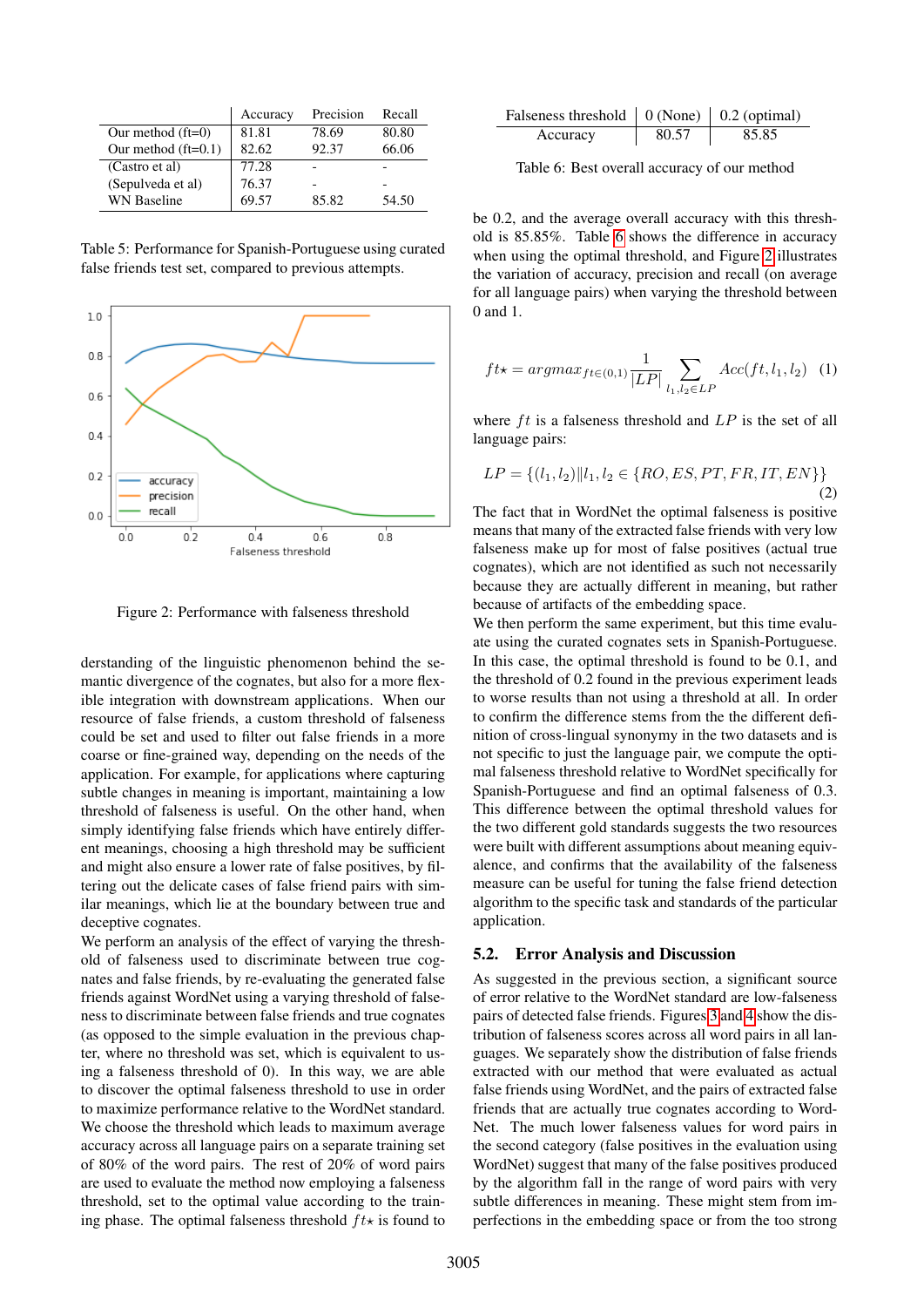|                       | Accuracy | Precision | Recall |
|-----------------------|----------|-----------|--------|
| Our method $(ft=0)$   | 81.81    | 78.69     | 80.80  |
| Our method $(ft=0.1)$ | 82.62    | 92.37     | 66.06  |
| (Castro et al)        | 77.28    |           |        |
| (Sepulveda et al)     | 76.37    |           |        |
| <b>WN</b> Baseline    | 69.57    | 85.82     | 54.50  |

<span id="page-4-0"></span>Table 5: Performance for Spanish-Portuguese using curated false friends test set, compared to previous attempts.



<span id="page-4-2"></span>Figure 2: Performance with falseness threshold

derstanding of the linguistic phenomenon behind the semantic divergence of the cognates, but also for a more flexible integration with downstream applications. When our resource of false friends, a custom threshold of falseness could be set and used to filter out false friends in a more coarse or fine-grained way, depending on the needs of the application. For example, for applications where capturing subtle changes in meaning is important, maintaining a low threshold of falseness is useful. On the other hand, when simply identifying false friends which have entirely different meanings, choosing a high threshold may be sufficient and might also ensure a lower rate of false positives, by filtering out the delicate cases of false friend pairs with similar meanings, which lie at the boundary between true and deceptive cognates.

We perform an analysis of the effect of varying the threshold of falseness used to discriminate between true cognates and false friends, by re-evaluating the generated false friends against WordNet using a varying threshold of falseness to discriminate between false friends and true cognates (as opposed to the simple evaluation in the previous chapter, where no threshold was set, which is equivalent to using a falseness threshold of 0). In this way, we are able to discover the optimal falseness threshold to use in order to maximize performance relative to the WordNet standard. We choose the threshold which leads to maximum average accuracy across all language pairs on a separate training set of 80% of the word pairs. The rest of 20% of word pairs are used to evaluate the method now employing a falseness threshold, set to the optimal value according to the training phase. The optimal falseness threshold  $ft\star$  is found to

| Falseness threshold $\vert 0$ (None) $\vert 0.2$ (optimal) |       |       |
|------------------------------------------------------------|-------|-------|
| Accuracy                                                   | 80.57 | 85.85 |

<span id="page-4-1"></span>Table 6: Best overall accuracy of our method

be 0.2, and the average overall accuracy with this threshold is 85.85%. Table [6](#page-4-1) shows the difference in accuracy when using the optimal threshold, and Figure [2](#page-4-2) illustrates the variation of accuracy, precision and recall (on average for all language pairs) when varying the threshold between 0 and 1.

$$
ft\star = argmax_{ft \in (0,1)} \frac{1}{|LP|} \sum_{l_1, l_2 \in LP} Acc(tf, l_1, l_2) \quad (1)
$$

where  $ft$  is a falseness threshold and  $LP$  is the set of all language pairs:

$$
LP = \{(l_1, l_2) || l_1, l_2 \in \{RO, ES, PT, FR, IT, EN\}\}\
$$
\n(2)

The fact that in WordNet the optimal falseness is positive means that many of the extracted false friends with very low falseness make up for most of false positives (actual true cognates), which are not identified as such not necessarily because they are actually different in meaning, but rather because of artifacts of the embedding space.

We then perform the same experiment, but this time evaluate using the curated cognates sets in Spanish-Portuguese. In this case, the optimal threshold is found to be 0.1, and the threshold of 0.2 found in the previous experiment leads to worse results than not using a threshold at all. In order to confirm the difference stems from the the different definition of cross-lingual synonymy in the two datasets and is not specific to just the language pair, we compute the optimal falseness threshold relative to WordNet specifically for Spanish-Portuguese and find an optimal falseness of 0.3. This difference between the optimal threshold values for the two different gold standards suggests the two resources were built with different assumptions about meaning equivalence, and confirms that the availability of the falseness measure can be useful for tuning the false friend detection algorithm to the specific task and standards of the particular application.

#### 5.2. Error Analysis and Discussion

As suggested in the previous section, a significant source of error relative to the WordNet standard are low-falseness pairs of detected false friends. Figures [3](#page-5-10) and [4](#page-5-11) show the distribution of falseness scores across all word pairs in all languages. We separately show the distribution of false friends extracted with our method that were evaluated as actual false friends using WordNet, and the pairs of extracted false friends that are actually true cognates according to Word-Net. The much lower falseness values for word pairs in the second category (false positives in the evaluation using WordNet) suggest that many of the false positives produced by the algorithm fall in the range of word pairs with very subtle differences in meaning. These might stem from imperfections in the embedding space or from the too strong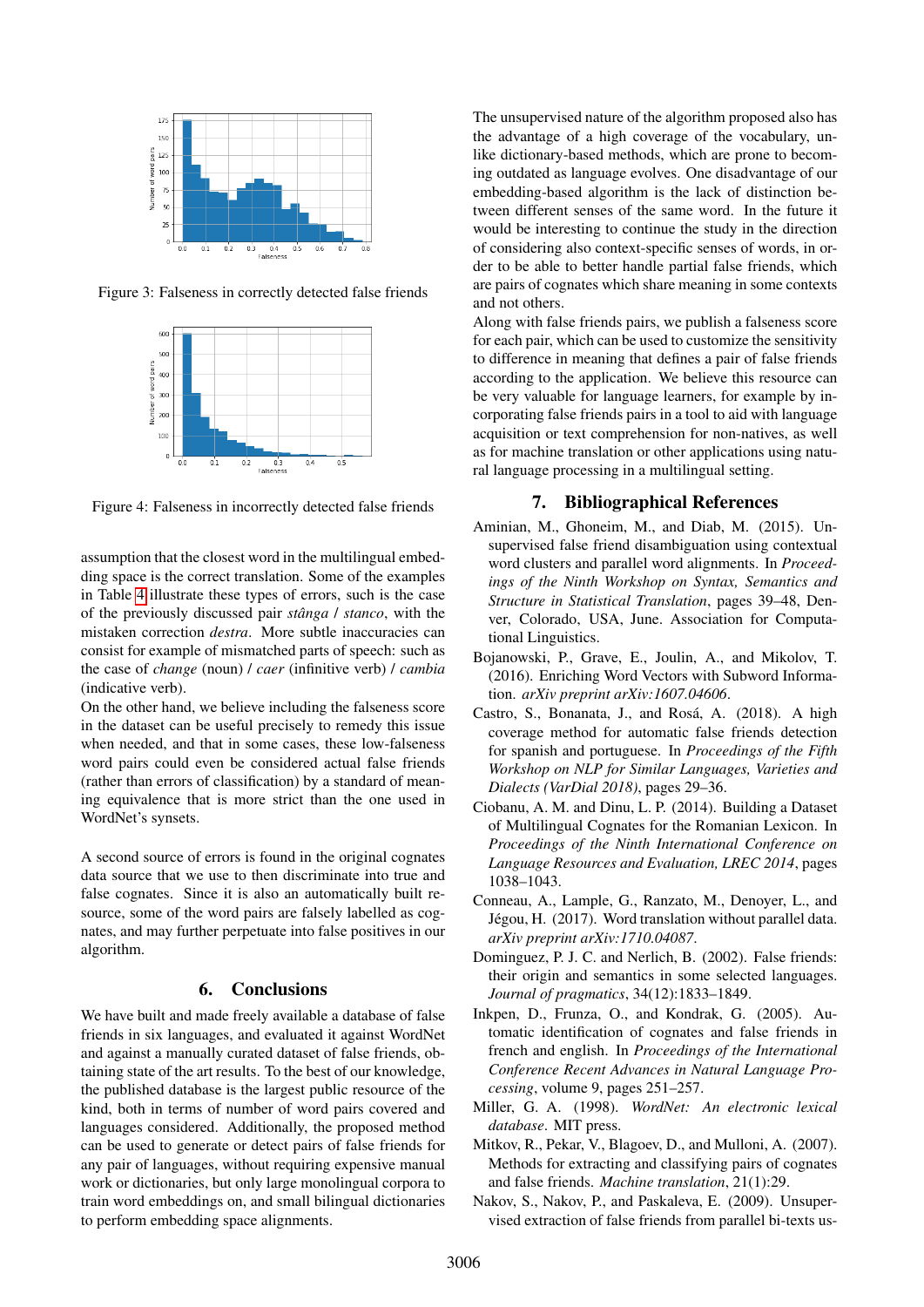

Figure 3: Falseness in correctly detected false friends



Figure 4: Falseness in incorrectly detected false friends

assumption that the closest word in the multilingual embedding space is the correct translation. Some of the examples in Table [4](#page-3-3) illustrate these types of errors, such is the case of the previously discussed pair *stanga ˆ* / *stanco*, with the mistaken correction *destra*. More subtle inaccuracies can consist for example of mismatched parts of speech: such as the case of *change* (noun) / *caer* (infinitive verb) / *cambia* (indicative verb).

On the other hand, we believe including the falseness score in the dataset can be useful precisely to remedy this issue when needed, and that in some cases, these low-falseness word pairs could even be considered actual false friends (rather than errors of classification) by a standard of meaning equivalence that is more strict than the one used in WordNet's synsets.

A second source of errors is found in the original cognates data source that we use to then discriminate into true and false cognates. Since it is also an automatically built resource, some of the word pairs are falsely labelled as cognates, and may further perpetuate into false positives in our algorithm.

#### 6. Conclusions

We have built and made freely available a database of false friends in six languages, and evaluated it against WordNet and against a manually curated dataset of false friends, obtaining state of the art results. To the best of our knowledge, the published database is the largest public resource of the kind, both in terms of number of word pairs covered and languages considered. Additionally, the proposed method can be used to generate or detect pairs of false friends for any pair of languages, without requiring expensive manual work or dictionaries, but only large monolingual corpora to train word embeddings on, and small bilingual dictionaries to perform embedding space alignments.

The unsupervised nature of the algorithm proposed also has the advantage of a high coverage of the vocabulary, unlike dictionary-based methods, which are prone to becoming outdated as language evolves. One disadvantage of our embedding-based algorithm is the lack of distinction between different senses of the same word. In the future it would be interesting to continue the study in the direction of considering also context-specific senses of words, in order to be able to better handle partial false friends, which are pairs of cognates which share meaning in some contexts and not others.

<span id="page-5-10"></span>Along with false friends pairs, we publish a falseness score for each pair, which can be used to customize the sensitivity to difference in meaning that defines a pair of false friends according to the application. We believe this resource can be very valuable for language learners, for example by incorporating false friends pairs in a tool to aid with language acquisition or text comprehension for non-natives, as well as for machine translation or other applications using natural language processing in a multilingual setting.

# 7. Bibliographical References

- <span id="page-5-11"></span><span id="page-5-3"></span>Aminian, M., Ghoneim, M., and Diab, M. (2015). Unsupervised false friend disambiguation using contextual word clusters and parallel word alignments. In *Proceedings of the Ninth Workshop on Syntax, Semantics and Structure in Statistical Translation*, pages 39–48, Denver, Colorado, USA, June. Association for Computational Linguistics.
- <span id="page-5-6"></span>Bojanowski, P., Grave, E., Joulin, A., and Mikolov, T. (2016). Enriching Word Vectors with Subword Information. *arXiv preprint arXiv:1607.04606*.
- <span id="page-5-4"></span>Castro, S., Bonanata, J., and Rosá, A. (2018). A high coverage method for automatic false friends detection for spanish and portuguese. In *Proceedings of the Fifth Workshop on NLP for Similar Languages, Varieties and Dialects (VarDial 2018)*, pages 29–36.
- <span id="page-5-8"></span>Ciobanu, A. M. and Dinu, L. P. (2014). Building a Dataset of Multilingual Cognates for the Romanian Lexicon. In *Proceedings of the Ninth International Conference on Language Resources and Evaluation, LREC 2014*, pages 1038–1043.
- <span id="page-5-7"></span>Conneau, A., Lample, G., Ranzato, M., Denoyer, L., and Jégou, H. (2017). Word translation without parallel data. *arXiv preprint arXiv:1710.04087*.
- <span id="page-5-0"></span>Dominguez, P. J. C. and Nerlich, B. (2002). False friends: their origin and semantics in some selected languages. *Journal of pragmatics*, 34(12):1833–1849.
- <span id="page-5-1"></span>Inkpen, D., Frunza, O., and Kondrak, G. (2005). Automatic identification of cognates and false friends in french and english. In *Proceedings of the International Conference Recent Advances in Natural Language Processing*, volume 9, pages 251–257.
- <span id="page-5-9"></span>Miller, G. A. (1998). *WordNet: An electronic lexical database*. MIT press.
- <span id="page-5-5"></span>Mitkov, R., Pekar, V., Blagoev, D., and Mulloni, A. (2007). Methods for extracting and classifying pairs of cognates and false friends. *Machine translation*, 21(1):29.
- <span id="page-5-2"></span>Nakov, S., Nakov, P., and Paskaleva, E. (2009). Unsupervised extraction of false friends from parallel bi-texts us-